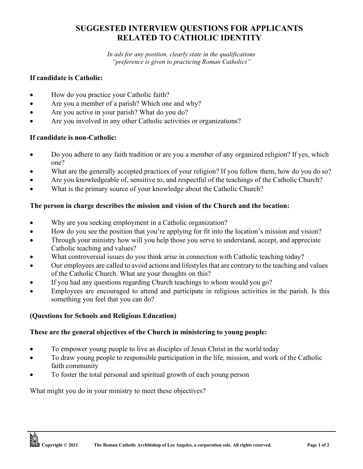# **SUGGESTED INTERVIEW QUESTIONS FOR APPLICANTS RELATED TO CATHOLIC IDENTITY**

*In ads for any position, clearly state in the qualifications "preference is given to practicing Roman Catholics"*

#### **If candidate is Catholic:**

- How do you practice your Catholic faith?
- Are you a member of a parish? Which one and why?
- Are you active in your parish? What do you do?
- Are you involved in any other Catholic activities or organizations?

### **If candidate is non-Catholic:**

- Do you adhere to any faith tradition or are you a member of any organized religion? If yes, which one?
- What are the generally accepted practices of your religion? If you follow them, how do you do so?
- Are you knowledgeable of, sensitive to, and respectful of the teachings of the Catholic Church?
- What is the primary source of your knowledge about the Catholic Church?

### **The person in charge describes the mission and vision of the Church and the location:**

- Why are you seeking employment in a Catholic organization?
- How do you see the position that you're applying for fit into the location's mission and vision?
- Through your ministry how will you help those you serve to understand, accept, and appreciate Catholic teaching and values?
- What controversial issues do you think arise in connection with Catholic teaching today?
- Our employees are called to avoid actions and lifestyles that are contrary to the teaching and values of the Catholic Church. What are your thoughts on this?
- If you had any questions regarding Church teachings to whom would you go?
- Employees are encouraged to attend and participate in religious activities in the parish. Is this something you feel that you can do?

## **(Questions for Schools and Religious Education)**

### **These are the general objectives of the Church in ministering to young people:**

- To empower young people to live as disciples of Jesus Christ in the world today
- To draw young people to responsible participation in the life, mission, and work of the Catholic faith community
- To foster the total personal and spiritual growth of each young person

What might you do in your ministry to meet these objectives?